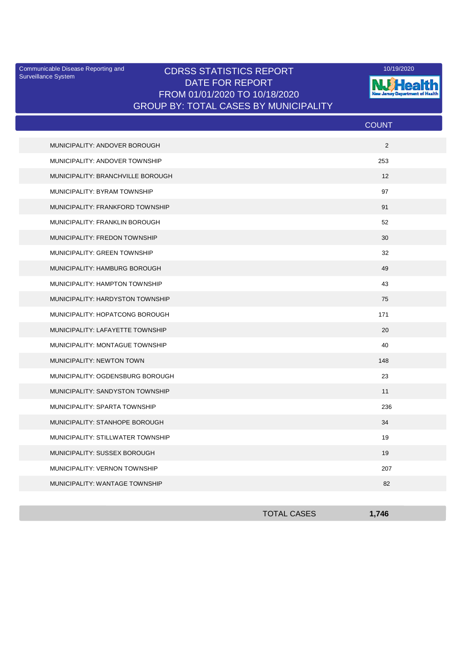Surveillance System

## Communicable Disease Reporting and **CDRSS STATISTICS REPORT** 10/19/2020<br>Surveillance Statem DATE FOR REPORT FROM 01/01/2020 TO 10/18/2020 GROUP BY: TOTAL CASES BY MUNICIPALITY



|                                   | <b>COUNT</b> |  |
|-----------------------------------|--------------|--|
| MUNICIPALITY: ANDOVER BOROUGH     | 2            |  |
| MUNICIPALITY: ANDOVER TOWNSHIP    | 253          |  |
| MUNICIPALITY: BRANCHVILLE BOROUGH | 12           |  |
| MUNICIPALITY: BYRAM TOWNSHIP      | 97           |  |
| MUNICIPALITY: FRANKFORD TOWNSHIP  | 91           |  |
| MUNICIPALITY: FRANKLIN BOROUGH    | 52           |  |
| MUNICIPALITY: FREDON TOWNSHIP     | 30           |  |
| MUNICIPALITY: GREEN TOWNSHIP      | 32           |  |
| MUNICIPALITY: HAMBURG BOROUGH     | 49           |  |
| MUNICIPALITY: HAMPTON TOWNSHIP    | 43           |  |
| MUNICIPALITY: HARDYSTON TOWNSHIP  | 75           |  |
| MUNICIPALITY: HOPATCONG BOROUGH   | 171          |  |
| MUNICIPALITY: LAFAYETTE TOWNSHIP  | 20           |  |
| MUNICIPALITY: MONTAGUE TOWNSHIP   | 40           |  |
| MUNICIPALITY: NEWTON TOWN         | 148          |  |
| MUNICIPALITY: OGDENSBURG BOROUGH  | 23           |  |
| MUNICIPALITY: SANDYSTON TOWNSHIP  | 11           |  |
| MUNICIPALITY: SPARTA TOWNSHIP     | 236          |  |
| MUNICIPALITY: STANHOPE BOROUGH    | 34           |  |
| MUNICIPALITY: STILLWATER TOWNSHIP | 19           |  |
| MUNICIPALITY: SUSSEX BOROUGH      | 19           |  |
| MUNICIPALITY: VERNON TOWNSHIP     | 207          |  |
| MUNICIPALITY: WANTAGE TOWNSHIP    | 82           |  |

| <b>TOTAL CASES</b> | 1,746 |
|--------------------|-------|
|                    |       |